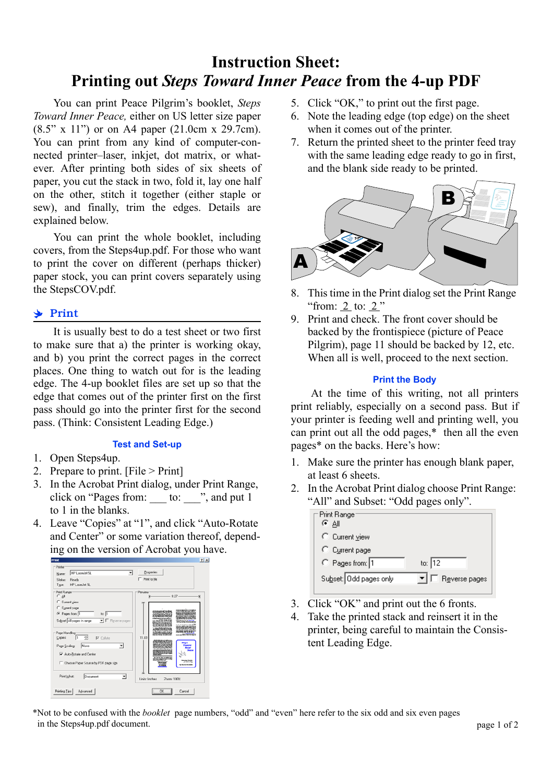# **Instruction Sheet: Printing out** *Steps Toward Inner Peace* **from the 4-up PDF**

You can print Peace Pilgrim's booklet, *Steps Toward Inner Peace,* either on US letter size paper (8.5" x 11") or on A4 paper (21.0cm x 29.7cm). You can print from any kind of computer-connected printer–laser, inkjet, dot matrix, or whatever. After printing both sides of six sheets of paper, you cut the stack in two, fold it, lay one half on the other, stitch it together (either staple or sew), and finally, trim the edges. Details are explained below.

You can print the whole booklet, including covers, from the Steps4up.pdf. For those who want to print the cover on different (perhaps thicker) paper stock, you can print covers separately using the StepsCOV.pdf.

# • Print

It is usually best to do a test sheet or two first to make sure that a) the printer is working okay, and b) you print the correct pages in the correct places. One thing to watch out for is the leading edge. The 4-up booklet files are set up so that the edge that comes out of the printer first on the first pass should go into the printer first for the second pass. (Think: Consistent Leading Edge.)

### **Test and Set-up**

- 1. Open Steps4up.
- 2. Prepare to print. [File > Print]
- 3. In the Acrobat Print dialog, under Print Range, click on "Pages from: \_\_\_ to: \_\_\_", and put 1 to 1 in the blanks.
- 4. Leave "Copies" at "1", and click "Auto-Rotate and Center" or some variation thereof, depending on the version of Acrobat you have.



- 5. Click "OK," to print out the first page.
- 6. Note the leading edge (top edge) on the sheet when it comes out of the printer.
- 7. Return the printed sheet to the printer feed tray with the same leading edge ready to go in first, and the blank side ready to be printed.



- 8. This time in the Print dialog set the Print Range "from: 2 to: 2 "
- 9. Print and check. The front cover should be backed by the frontispiece (picture of Peace Pilgrim), page 11 should be backed by 12, etc. When all is well, proceed to the next section.

#### **Print the Body**

At the time of this writing, not all printers print reliably, especially on a second pass. But if your printer is feeding well and printing well, you can print out all the odd pages,\* then all the even pages\* on the backs. Here's how:

- 1. Make sure the printer has enough blank paper, at least 6 sheets.
- 2. In the Acrobat Print dialog choose Print Range: "All" and Subset: "Odd pages only".

| Print Range:           |            |               |  |
|------------------------|------------|---------------|--|
| ೯Α⊪                    |            |               |  |
| C Current view         |            |               |  |
| C Current page         |            |               |  |
| C Pages from: 1        | to: $ 12 $ |               |  |
| Subset: Odd pages only |            | Reverse pages |  |
|                        |            |               |  |

- 3. Click "OK" and print out the 6 fronts.
- 4. Take the printed stack and reinsert it in the printer, being careful to maintain the Consistent Leading Edge.

\*Not to be confused with the *booklet* page numbers, "odd" and "even" here refer to the six odd and six even pages in the Steps4up.pdf document.